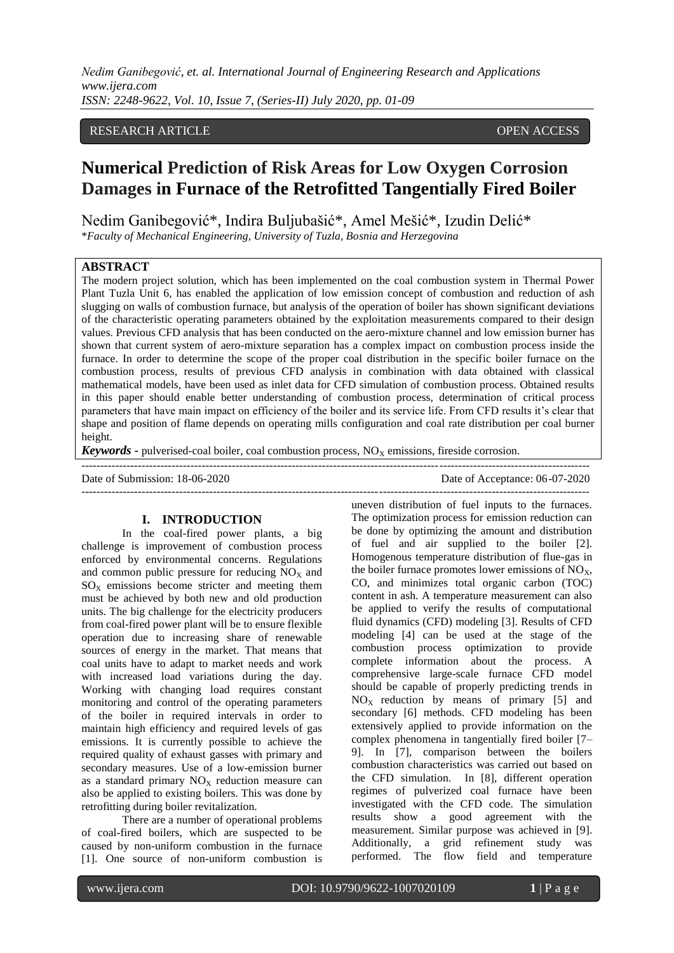# RESEARCH ARTICLE OPEN ACCESS

# **Numerical Prediction of Risk Areas for Low Oxygen Corrosion Damages in Furnace of the Retrofitted Tangentially Fired Boiler**

Nedim Ganibegović\*, Indira Buljubašić\*, Amel Mešić\*, Izudin Delić\*

\**Faculty of Mechanical Engineering, University of Tuzla, Bosnia and Herzegovina*

# **ABSTRACT**

The modern project solution, which has been implemented on the coal combustion system in Thermal Power Plant Tuzla Unit 6, has enabled the application of low emission concept of combustion and reduction of ash slugging on walls of combustion furnace, but analysis of the operation of boiler has shown significant deviations of the characteristic operating parameters obtained by the exploitation measurements compared to their design values. Previous CFD analysis that has been conducted on the aero-mixture channel and low emission burner has shown that current system of aero-mixture separation has a complex impact on combustion process inside the furnace. In order to determine the scope of the proper coal distribution in the specific boiler furnace on the combustion process, results of previous CFD analysis in combination with data obtained with classical mathematical models, have been used as inlet data for CFD simulation of combustion process. Obtained results in this paper should enable better understanding of combustion process, determination of critical process parameters that have main impact on efficiency of the boiler and its service life. From CFD results it's clear that shape and position of flame depends on operating mills configuration and coal rate distribution per coal burner height.

**Keywords -** pulverised-coal boiler, coal combustion process,  $NO<sub>X</sub>$  emissions, fireside corrosion.

--------------------------------------------------------------------------------------------------------------------------------------- Date of Submission: 18-06-2020 Date of Acceptance: 06-07-2020 ---------------------------------------------------------------------------------------------------------------------------------------

#### **I. INTRODUCTION**

In the coal-fired power plants, a big challenge is improvement of combustion process enforced by environmental concerns. Regulations and common public pressure for reducing  $NO<sub>x</sub>$  and  $SO<sub>X</sub>$  emissions become stricter and meeting them must be achieved by both new and old production units. The big challenge for the electricity producers from coal-fired power plant will be to ensure flexible operation due to increasing share of renewable sources of energy in the market. That means that coal units have to adapt to market needs and work with increased load variations during the day. Working with changing load requires constant monitoring and control of the operating parameters of the boiler in required intervals in order to maintain high efficiency and required levels of gas emissions. It is currently possible to achieve the required quality of exhaust gasses with primary and secondary measures. Use of a low-emission burner as a standard primary  $NO<sub>x</sub>$  reduction measure can also be applied to existing boilers. This was done by retrofitting during boiler revitalization.

There are a number of operational problems of coal-fired boilers, which are suspected to be caused by non-uniform combustion in the furnace [1]. One source of non-uniform combustion is uneven distribution of fuel inputs to the furnaces. The optimization process for emission reduction can be done by optimizing the amount and distribution of fuel and air supplied to the boiler [2]. Homogenous temperature distribution of flue-gas in the boiler furnace promotes lower emissions of  $NO<sub>X</sub>$ , CO, and minimizes total organic carbon (TOC) content in ash. A temperature measurement can also be applied to verify the results of computational fluid dynamics (CFD) modeling [3]. Results of CFD modeling [4] can be used at the stage of the combustion process optimization to provide complete information about the process. A comprehensive large-scale furnace CFD model should be capable of properly predicting trends in  $NO<sub>X</sub>$  reduction by means of primary [5] and secondary [6] methods. CFD modeling has been extensively applied to provide information on the complex phenomena in tangentially fired boiler [7– 9]. In [7], comparison between the boilers combustion characteristics was carried out based on the CFD simulation. In [8], different operation regimes of pulverized coal furnace have been investigated with the CFD code. The simulation results show a good agreement with the measurement. Similar purpose was achieved in [9]. Additionally, a grid refinement study was performed. The flow field and temperature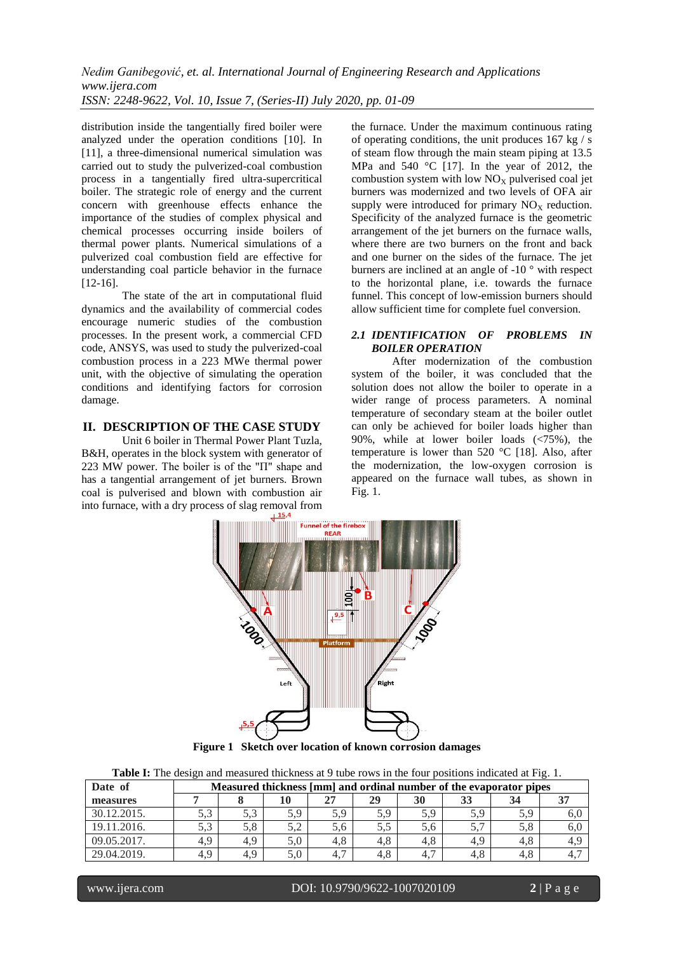distribution inside the tangentially fired boiler were analyzed under the operation conditions [10]. In [11], a three-dimensional numerical simulation was carried out to study the pulverized-coal combustion process in a tangentially fired ultra-supercritical boiler. The strategic role of energy and the current concern with greenhouse effects enhance the importance of the studies of complex physical and chemical processes occurring inside boilers of thermal power plants. Numerical simulations of a pulverized coal combustion field are effective for understanding coal particle behavior in the furnace [12-16].

The state of the art in computational fluid dynamics and the availability of commercial codes encourage numeric studies of the combustion processes. In the present work, a commercial CFD code, ANSYS, was used to study the pulverized-coal combustion process in a 223 MWe thermal power unit, with the objective of simulating the operation conditions and identifying factors for corrosion damage.

#### **II. DESCRIPTION OF THE CASE STUDY**

Unit 6 boiler in Thermal Power Plant Tuzla, B&H, operates in the block system with generator of 223 MW power. The boiler is of the "Π" shape and has a tangential arrangement of jet burners. Brown coal is pulverised and blown with combustion air into furnace, with a dry process of slag removal from

the furnace. Under the maximum continuous rating of operating conditions, the unit produces 167 kg / s of steam flow through the main steam piping at 13.5 MPa and 540 °C [17]. In the year of 2012, the combustion system with low  $NO<sub>X</sub>$  pulverised coal jet burners was modernized and two levels of OFA air supply were introduced for primary  $NO<sub>x</sub>$  reduction. Specificity of the analyzed furnace is the geometric arrangement of the jet burners on the furnace walls, where there are two burners on the front and back and one burner on the sides of the furnace. The jet burners are inclined at an angle of -10 ° with respect to the horizontal plane, i.e. towards the furnace funnel. This concept of low-emission burners should allow sufficient time for complete fuel conversion.

#### *2.1 IDENTIFICATION OF PROBLEMS IN BOILER OPERATION*

After modernization of the combustion system of the boiler, it was concluded that the solution does not allow the boiler to operate in a wider range of process parameters. A nominal temperature of secondary steam at the boiler outlet can only be achieved for boiler loads higher than 90%, while at lower boiler loads (<75%), the temperature is lower than 520 °C [18]. Also, after the modernization, the low-oxygen corrosion is appeared on the furnace wall tubes, as shown in Fig. 1.



**Figure 1 Sketch over location of known corrosion damages**

| Date of     | Measured thickness [mm] and ordinal number of the evaporator pipes |     |     |     |     |     |     |     |     |
|-------------|--------------------------------------------------------------------|-----|-----|-----|-----|-----|-----|-----|-----|
| measures    |                                                                    |     |     | 27  | 29  | 30  |     |     |     |
| 30.12.2015. | 5.3                                                                | 5.3 | 5.9 | 5.9 | 5,9 | 5.9 | 5,9 |     | 0.U |
| 19.11.2016. | 5.3                                                                | 5,8 |     | 5.6 | 5.5 | 5.6 |     |     | 6,0 |
| 09.05.2017. | 4.9                                                                | 4.9 | 5.0 | 4.8 | 4.8 | 4.8 | 4.9 |     |     |
| 29.04.2019. | 4.9                                                                | 4.9 |     | 4.7 | 4.8 | 4.  | 4.8 | 4.ð | 4., |

www.ijera.com DOI: 10.9790/9622-1007020109 **2** | P a g e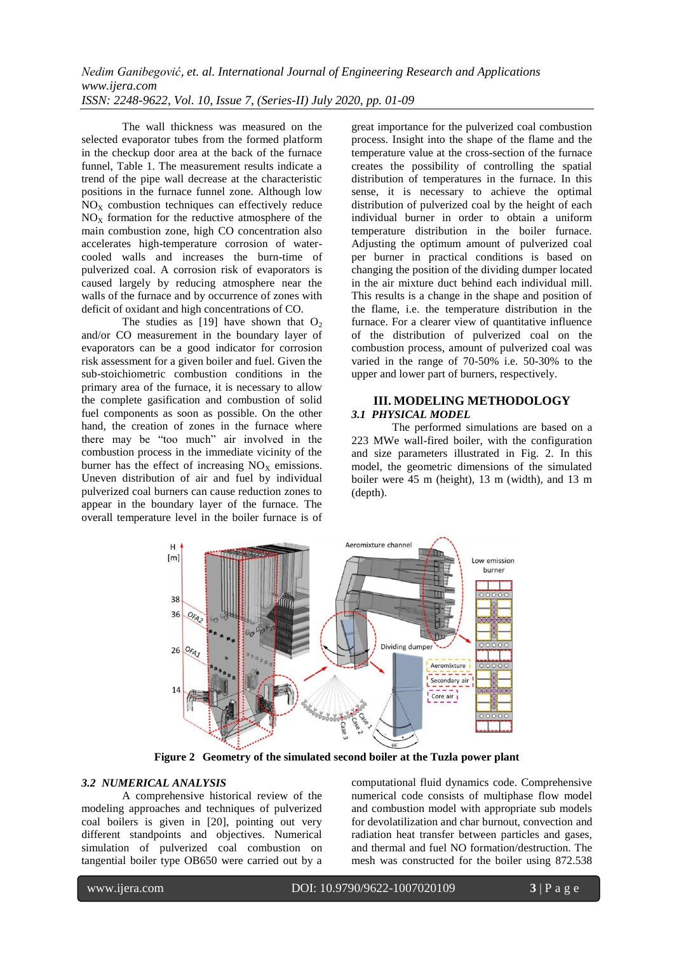The wall thickness was measured on the selected evaporator tubes from the formed platform in the checkup door area at the back of the furnace funnel, Table 1. The measurement results indicate a trend of the pipe wall decrease at the characteristic positions in the furnace funnel zone. Although low  $NO<sub>X</sub>$  combustion techniques can effectively reduce  $NO<sub>X</sub>$  formation for the reductive atmosphere of the main combustion zone, high CO concentration also accelerates high-temperature corrosion of watercooled walls and increases the burn-time of pulverized coal. A corrosion risk of evaporators is caused largely by reducing atmosphere near the walls of the furnace and by occurrence of zones with deficit of oxidant and high concentrations of CO.

The studies as [19] have shown that  $O_2$ and/or CO measurement in the boundary layer of evaporators can be a good indicator for corrosion risk assessment for a given boiler and fuel. Given the sub-stoichiometric combustion conditions in the primary area of the furnace, it is necessary to allow the complete gasification and combustion of solid fuel components as soon as possible. On the other hand, the creation of zones in the furnace where there may be "too much" air involved in the combustion process in the immediate vicinity of the burner has the effect of increasing  $NO<sub>x</sub>$  emissions. Uneven distribution of air and fuel by individual pulverized coal burners can cause reduction zones to appear in the boundary layer of the furnace. The overall temperature level in the boiler furnace is of

great importance for the pulverized coal combustion process. Insight into the shape of the flame and the temperature value at the cross-section of the furnace creates the possibility of controlling the spatial distribution of temperatures in the furnace. In this sense, it is necessary to achieve the optimal distribution of pulverized coal by the height of each individual burner in order to obtain a uniform temperature distribution in the boiler furnace. Adjusting the optimum amount of pulverized coal per burner in practical conditions is based on changing the position of the dividing dumper located in the air mixture duct behind each individual mill. This results is a change in the shape and position of the flame, i.e. the temperature distribution in the furnace. For a clearer view of quantitative influence of the distribution of pulverized coal on the combustion process, amount of pulverized coal was varied in the range of 70-50% i.e. 50-30% to the upper and lower part of burners, respectively.

#### **III. MODELING METHODOLOGY** *3.1 PHYSICAL MODEL*

The performed simulations are based on a 223 MWe wall-fired boiler, with the configuration and size parameters illustrated in Fig. 2. In this model, the geometric dimensions of the simulated boiler were 45 m (height), 13 m (width), and 13 m (depth).



**Figure 2 Geometry of the simulated second boiler at the Tuzla power plant**

#### *3.2 NUMERICAL ANALYSIS*

A comprehensive historical review of the modeling approaches and techniques of pulverized coal boilers is given in [20], pointing out very different standpoints and objectives. Numerical simulation of pulverized coal combustion on tangential boiler type OB650 were carried out by a computational fluid dynamics code. Comprehensive numerical code consists of multiphase flow model and combustion model with appropriate sub models for devolatilization and char burnout, convection and radiation heat transfer between particles and gases, and thermal and fuel NO formation/destruction. The mesh was constructed for the boiler using 872.538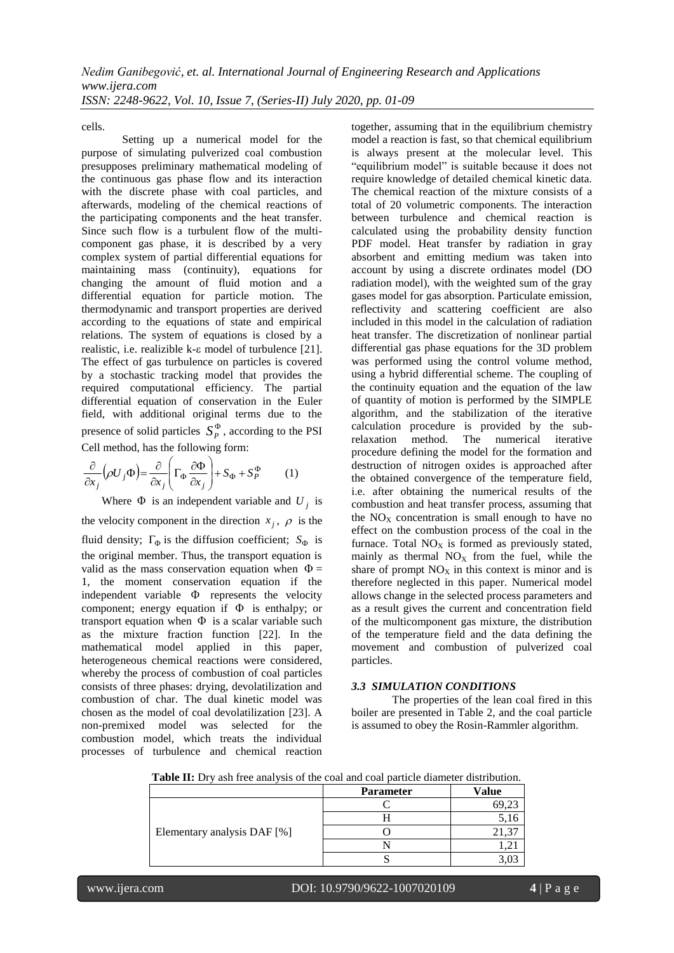cells.

Setting up a numerical model for the purpose of simulating pulverized coal combustion presupposes preliminary mathematical modeling of the continuous gas phase flow and its interaction with the discrete phase with coal particles, and afterwards, modeling of the chemical reactions of the participating components and the heat transfer. Since such flow is a turbulent flow of the multicomponent gas phase, it is described by a very complex system of partial differential equations for maintaining mass (continuity), equations for changing the amount of fluid motion and a differential equation for particle motion. The thermodynamic and transport properties are derived according to the equations of state and empirical relations. The system of equations is closed by a realistic, i.e. realizible  $k$ - $\varepsilon$  model of turbulence [21]. The effect of gas turbulence on particles is covered by a stochastic tracking model that provides the required computational efficiency. The partial differential equation of conservation in the Euler field, with additional original terms due to the presence of solid particles  $S_p^{\Phi}$ , according to the PSI Cell method, has the following form:

$$
\frac{\partial}{\partial x_j} \left( \rho U_j \Phi \right) = \frac{\partial}{\partial x_j} \left( \Gamma_{\Phi} \frac{\partial \Phi}{\partial x_j} \right) + S_{\Phi} + S_P^{\Phi} \tag{1}
$$

Where  $\Phi$  is an independent variable and  $U_j$  is the velocity component in the direction  $x_j$ ,  $\rho$  is the fluid density;  $\Gamma_{\Phi}$  is the diffusion coefficient;  $S_{\Phi}$  is the original member. Thus, the transport equation is valid as the mass conservation equation when  $\Phi =$ 1, the moment conservation equation if the independent variable  $\Phi$  represents the velocity component; energy equation if  $\Phi$  is enthalpy; or transport equation when  $\Phi$  is a scalar variable such as the mixture fraction function [22]. In the mathematical model applied in this paper, heterogeneous chemical reactions were considered, whereby the process of combustion of coal particles consists of three phases: drying, devolatilization and combustion of char. The dual kinetic model was chosen as the model of coal devolatilization [23]. A non-premixed model was selected for the combustion model, which treats the individual processes of turbulence and chemical reaction

together, assuming that in the equilibrium chemistry model a reaction is fast, so that chemical equilibrium is always present at the molecular level. This "equilibrium model" is suitable because it does not require knowledge of detailed chemical kinetic data. The chemical reaction of the mixture consists of a total of 20 volumetric components. The interaction between turbulence and chemical reaction is calculated using the probability density function PDF model. Heat transfer by radiation in gray absorbent and emitting medium was taken into account by using a discrete ordinates model (DO radiation model), with the weighted sum of the gray gases model for gas absorption. Particulate emission, reflectivity and scattering coefficient are also included in this model in the calculation of radiation heat transfer. The discretization of nonlinear partial differential gas phase equations for the 3D problem was performed using the control volume method, using a hybrid differential scheme. The coupling of the continuity equation and the equation of the law of quantity of motion is performed by the SIMPLE algorithm, and the stabilization of the iterative calculation procedure is provided by the subrelaxation method. The numerical iterative procedure defining the model for the formation and destruction of nitrogen oxides is approached after the obtained convergence of the temperature field, i.e. after obtaining the numerical results of the combustion and heat transfer process, assuming that the  $NO<sub>x</sub>$  concentration is small enough to have no effect on the combustion process of the coal in the furnace. Total  $NO<sub>x</sub>$  is formed as previously stated, mainly as thermal  $NO<sub>X</sub>$  from the fuel, while the share of prompt  $NO<sub>X</sub>$  in this context is minor and is therefore neglected in this paper. Numerical model allows change in the selected process parameters and as a result gives the current and concentration field of the multicomponent gas mixture, the distribution of the temperature field and the data defining the movement and combustion of pulverized coal particles.

### *3.3 SIMULATION CONDITIONS*

The properties of the lean coal fired in this boiler are presented in Table 2, and the coal particle is assumed to obey the Rosin-Rammler algorithm.

**Table II:** Dry ash free analysis of the coal and coal particle diameter distribution.

|                             | <b>Parameter</b> | Value |
|-----------------------------|------------------|-------|
|                             |                  |       |
|                             |                  |       |
| Elementary analysis DAF [%] |                  |       |
|                             |                  |       |
|                             |                  |       |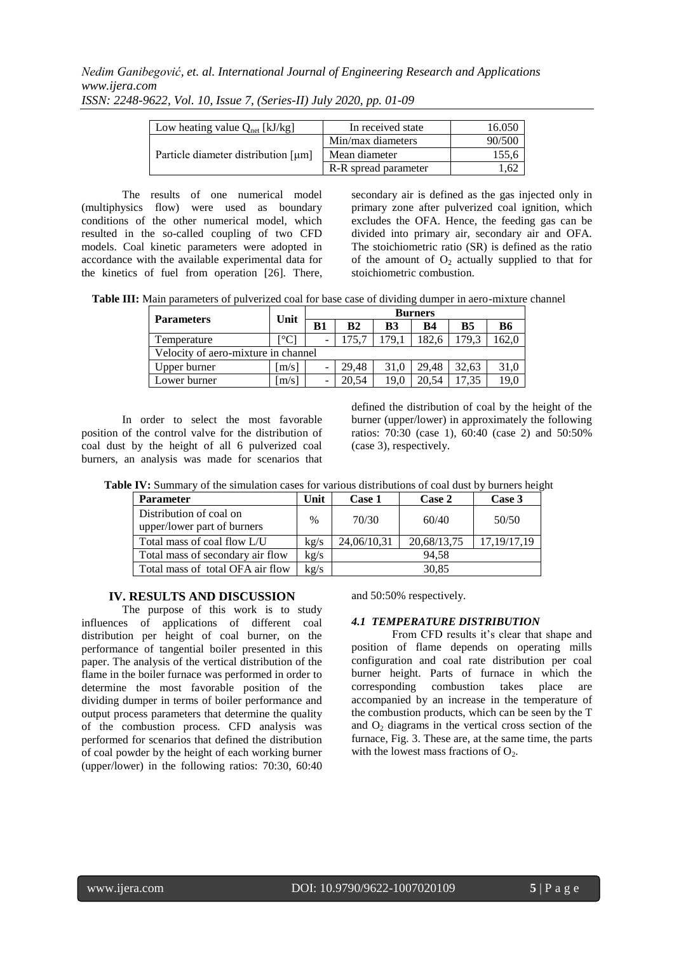| Low heating value $Q_{net}$ [kJ/kg] | In received state    | 16.050 |
|-------------------------------------|----------------------|--------|
| Particle diameter distribution [µm] | Min/max diameters    | 90/500 |
|                                     | Mean diameter        | 155,6  |
|                                     | R-R spread parameter | 1.62   |

*ISSN: 2248-9622, Vol. 10, Issue 7, (Series-II) July 2020, pp. 01-09*

The results of one numerical model (multiphysics flow) were used as boundary conditions of the other numerical model, which resulted in the so-called coupling of two CFD models. Coal kinetic parameters were adopted in accordance with the available experimental data for the kinetics of fuel from operation [26]. There, secondary air is defined as the gas injected only in primary zone after pulverized coal ignition, which excludes the OFA. Hence, the feeding gas can be divided into primary air, secondary air and OFA. The stoichiometric ratio (SR) is defined as the ratio of the amount of  $O_2$  actually supplied to that for stoichiometric combustion.

**Table III:** Main parameters of pulverized coal for base case of dividing dumper in aero-mixture channel

| <b>Parameters</b>                   | Unit  | <b>Burners</b> |                |      |           |           |           |  |
|-------------------------------------|-------|----------------|----------------|------|-----------|-----------|-----------|--|
|                                     |       | B1             | B <sub>2</sub> | B3   | <b>B4</b> | <b>B5</b> | <b>B6</b> |  |
| Temperature                         |       |                |                | 179. | 182.6     | 179.3     | 62,0      |  |
| Velocity of aero-mixture in channel |       |                |                |      |           |           |           |  |
| Upper burner                        | [m/s] |                | 29,48          | 31.0 | 29.48     | 32.63     | 31.0      |  |
| Lower burner                        | [m/s] |                | 20.54          | 19.0 | 20.54     |           | 19,0      |  |

In order to select the most favorable position of the control valve for the distribution of coal dust by the height of all 6 pulverized coal burners, an analysis was made for scenarios that

defined the distribution of coal by the height of the burner (upper/lower) in approximately the following ratios: 70:30 (case 1), 60:40 (case 2) and 50:50% (case 3), respectively.

| Table IV: Summary of the simulation cases for various distributions of coal dust by burners height |  |  |
|----------------------------------------------------------------------------------------------------|--|--|
|----------------------------------------------------------------------------------------------------|--|--|

| <b>Parameter</b>                                       | Unit | Case 1      | Case 2      | Case 3        |  |
|--------------------------------------------------------|------|-------------|-------------|---------------|--|
| Distribution of coal on<br>upper/lower part of burners | $\%$ | 70/30       | 60/40       | 50/50         |  |
| Total mass of coal flow L/U                            | kg/s | 24,06/10,31 | 20,68/13,75 | 17, 19/17, 19 |  |
| Total mass of secondary air flow                       | kg/s | 94.58       |             |               |  |
| Total mass of total OFA air flow                       | kg/s |             | 30,85       |               |  |

# **IV. RESULTS AND DISCUSSION**

The purpose of this work is to study influences of applications of different coal distribution per height of coal burner, on the performance of tangential boiler presented in this paper. The analysis of the vertical distribution of the flame in the boiler furnace was performed in order to determine the most favorable position of the dividing dumper in terms of boiler performance and output process parameters that determine the quality of the combustion process. CFD analysis was performed for scenarios that defined the distribution of coal powder by the height of each working burner (upper/lower) in the following ratios: 70:30, 60:40 and 50:50% respectively.

#### *4.1 TEMPERATURE DISTRIBUTION*

From CFD results it's clear that shape and position of flame depends on operating mills configuration and coal rate distribution per coal burner height. Parts of furnace in which the corresponding combustion takes place are accompanied by an increase in the temperature of the combustion products, which can be seen by the T and  $O_2$  diagrams in the vertical cross section of the furnace, Fig. 3. These are, at the same time, the parts with the lowest mass fractions of  $O<sub>2</sub>$ .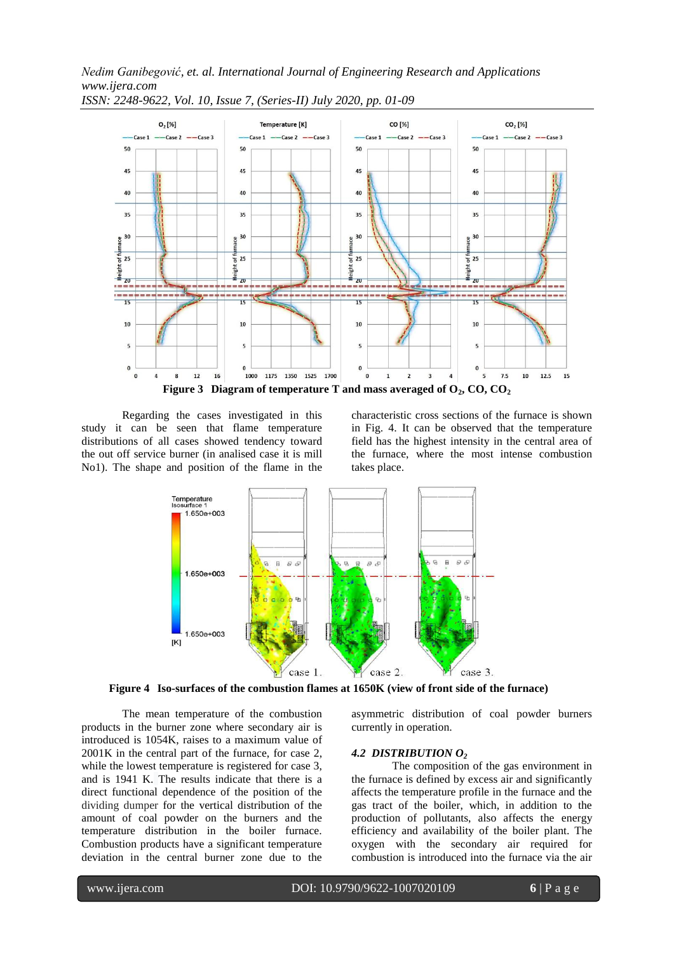

*ISSN: 2248-9622, Vol. 10, Issue 7, (Series-II) July 2020, pp. 01-09*

Regarding the cases investigated in this study it can be seen that flame temperature distributions of all cases showed tendency toward the out off service burner (in analised case it is mill No1). The shape and position of the flame in the

characteristic cross sections of the furnace is shown in Fig. 4. It can be observed that the temperature field has the highest intensity in the central area of the furnace, where the most intense combustion takes place.



**Figure 4 Iso-surfaces of the combustion flames at 1650K (view of front side of the furnace)**

The mean temperature of the combustion products in the burner zone where secondary air is introduced is 1054K, raises to a maximum value of 2001K in the central part of the furnace, for case 2, while the lowest temperature is registered for case 3, and is 1941 K. The results indicate that there is a direct functional dependence of the position of the dividing dumper for the vertical distribution of the amount of coal powder on the burners and the temperature distribution in the boiler furnace. Combustion products have a significant temperature deviation in the central burner zone due to the

asymmetric distribution of coal powder burners currently in operation.

#### *4.2 DISTRIBUTION O<sup>2</sup>*

The composition of the gas environment in the furnace is defined by excess air and significantly affects the temperature profile in the furnace and the gas tract of the boiler, which, in addition to the production of pollutants, also affects the energy efficiency and availability of the boiler plant. The oxygen with the secondary air required for combustion is introduced into the furnace via the air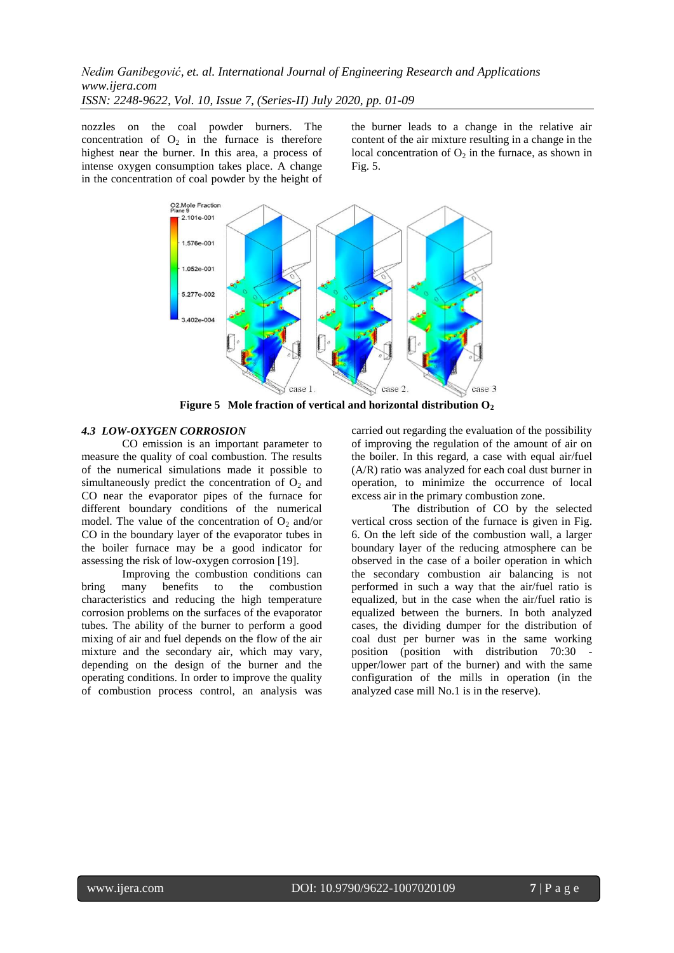nozzles on the coal powder burners. The concentration of  $O_2$  in the furnace is therefore highest near the burner. In this area, a process of intense oxygen consumption takes place. A change in the concentration of coal powder by the height of the burner leads to a change in the relative air content of the air mixture resulting in a change in the local concentration of  $O_2$  in the furnace, as shown in Fig. 5.



**Figure 5 Mole fraction of vertical and horizontal distribution O<sup>2</sup>**

#### *4.3 LOW-OXYGEN CORROSION*

CO emission is an important parameter to measure the quality of coal combustion. The results of the numerical simulations made it possible to simultaneously predict the concentration of  $O<sub>2</sub>$  and CO near the evaporator pipes of the furnace for different boundary conditions of the numerical model. The value of the concentration of  $O_2$  and/or CO in the boundary layer of the evaporator tubes in the boiler furnace may be a good indicator for assessing the risk of low-oxygen corrosion [19].

Improving the combustion conditions can bring many benefits to the combustion characteristics and reducing the high temperature corrosion problems on the surfaces of the evaporator tubes. The ability of the burner to perform a good mixing of air and fuel depends on the flow of the air mixture and the secondary air, which may vary, depending on the design of the burner and the operating conditions. In order to improve the quality of combustion process control, an analysis was

carried out regarding the evaluation of the possibility of improving the regulation of the amount of air on the boiler. In this regard, a case with equal air/fuel (A/R) ratio was analyzed for each coal dust burner in operation, to minimize the occurrence of local excess air in the primary combustion zone.

The distribution of CO by the selected vertical cross section of the furnace is given in Fig. 6. On the left side of the combustion wall, a larger boundary layer of the reducing atmosphere can be observed in the case of a boiler operation in which the secondary combustion air balancing is not performed in such a way that the air/fuel ratio is equalized, but in the case when the air/fuel ratio is equalized between the burners. In both analyzed cases, the dividing dumper for the distribution of coal dust per burner was in the same working position (position with distribution 70:30 upper/lower part of the burner) and with the same configuration of the mills in operation (in the analyzed case mill No.1 is in the reserve).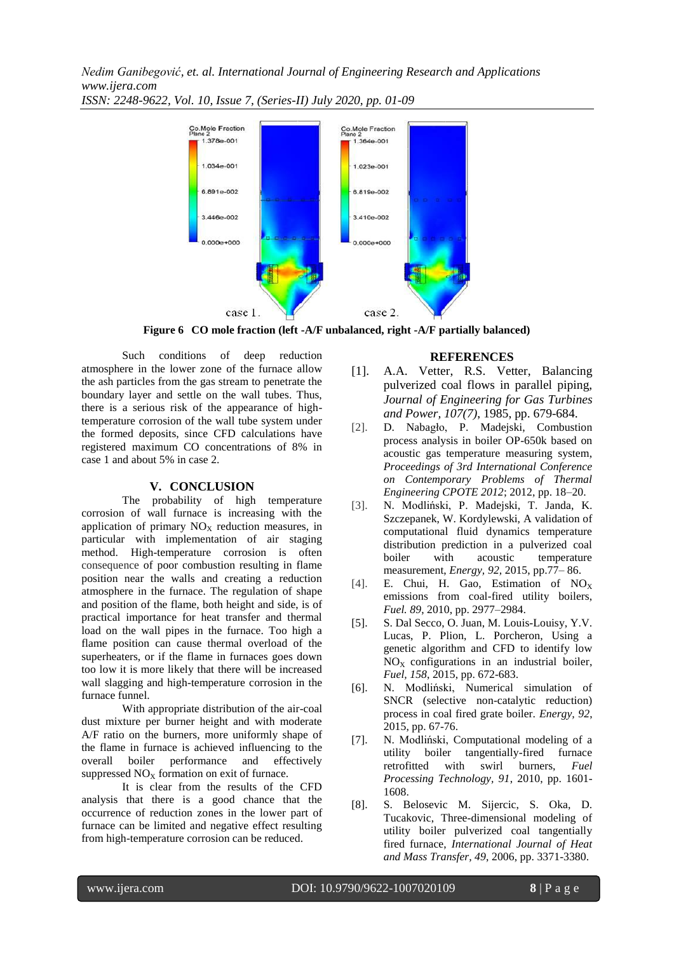



**Figure 6 CO mole fraction (left -A/F unbalanced, right -A/F partially balanced)**

Such conditions of deep reduction atmosphere in the lower zone of the furnace allow the ash particles from the gas stream to penetrate the boundary layer and settle on the wall tubes. Thus, there is a serious risk of the appearance of hightemperature corrosion of the wall tube system under the formed deposits, since CFD calculations have registered maximum CO concentrations of 8% in case 1 and about 5% in case 2.

# **V. CONCLUSION**

The probability of high temperature corrosion of wall furnace is increasing with the application of primary  $NO<sub>X</sub>$  reduction measures, in particular with implementation of air staging method. High-temperature corrosion is often consequence of poor combustion resulting in flame position near the walls and creating a reduction atmosphere in the furnace. The regulation of shape and position of the flame, both height and side, is of practical importance for heat transfer and thermal load on the wall pipes in the furnace. Too high a flame position can cause thermal overload of the superheaters, or if the flame in furnaces goes down too low it is more likely that there will be increased wall slagging and high-temperature corrosion in the furnace funnel.

With appropriate distribution of the air-coal dust mixture per burner height and with moderate A/F ratio on the burners, more uniformly shape of the flame in furnace is achieved influencing to the overall boiler performance and effectively suppressed  $NO<sub>X</sub>$  formation on exit of furnace.

It is clear from the results of the CFD analysis that there is a good chance that the occurrence of reduction zones in the lower part of furnace can be limited and negative effect resulting from high-temperature corrosion can be reduced.

# **REFERENCES**

- [1]. A.A. Vetter, R.S. Vetter, Balancing pulverized coal flows in parallel piping, *Journal of Engineering for Gas Turbines and Power, 107(7)*, 1985, pp. 679-684.
- [2]. D. Nabagło, P. Madejski, Combustion process analysis in boiler OP-650k based on acoustic gas temperature measuring system, *Proceedings of 3rd International Conference on Contemporary Problems of Thermal Engineering CPOTE 2012*; 2012, pp. 18–20.
- [3]. N. Modliński, P. Madejski, T. Janda, K. Szczepanek, W. Kordylewski, A validation of computational fluid dynamics temperature distribution prediction in a pulverized coal boiler with acoustic temperature measurement, *Energy, 92,* 2015, pp.77– 86.
- [4]. E. Chui, H. Gao, Estimation of NO<sub>X</sub> emissions from coal-fired utility boilers, *Fuel. 89*, 2010, pp. 2977–2984.
- [5]. S. Dal Secco, O. Juan, M. Louis-Louisy, Y.V. Lucas, P. Plion, L. Porcheron, Using a genetic algorithm and CFD to identify low  $NO<sub>X</sub>$  configurations in an industrial boiler, *Fuel, 158*, 2015, pp. 672-683.
- [6]. N. Modliński, Numerical simulation of SNCR (selective non-catalytic reduction) process in coal fired grate boiler. *Energy, 92*, 2015, pp. 67-76.
- [7]. N. Modliński, Computational modeling of a utility boiler tangentially-fired furnace retrofitted with swirl burners, *Fuel Processing Technology, 91*, 2010, pp. 1601- 1608.
- [8]. S. Belosevic M. Sijercic, S. Oka, D. Tucakovic, Three-dimensional modeling of utility boiler pulverized coal tangentially fired furnace, *International Journal of Heat and Mass Transfer, 49*, 2006, pp. 3371-3380.